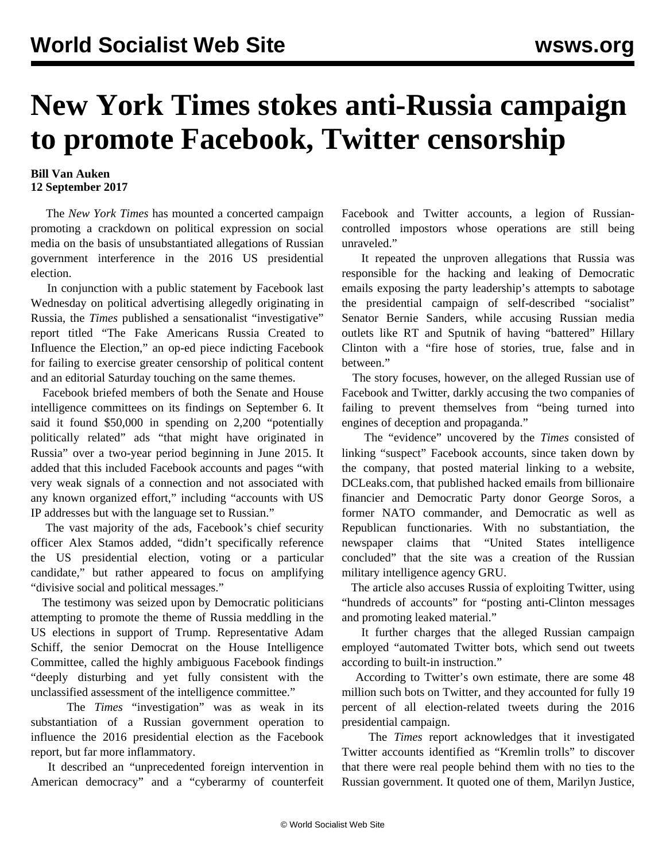## **New York Times stokes anti-Russia campaign to promote Facebook, Twitter censorship**

## **Bill Van Auken 12 September 2017**

 The *New York Times* has mounted a concerted campaign promoting a crackdown on political expression on social media on the basis of unsubstantiated allegations of Russian government interference in the 2016 US presidential election.

 In conjunction with a public statement by Facebook last Wednesday on political advertising allegedly originating in Russia, the *Times* published a sensationalist "investigative" report titled "The Fake Americans Russia Created to Influence the Election," an op-ed piece indicting Facebook for failing to exercise greater censorship of political content and an editorial Saturday touching on the same themes.

 Facebook briefed members of both the Senate and House intelligence committees on its findings on September 6. It said it found \$50,000 in spending on 2,200 "potentially politically related" ads "that might have originated in Russia" over a two-year period beginning in June 2015. It added that this included Facebook accounts and pages "with very weak signals of a connection and not associated with any known organized effort," including "accounts with US IP addresses but with the language set to Russian."

 The vast majority of the ads, Facebook's chief security officer Alex Stamos added, "didn't specifically reference the US presidential election, voting or a particular candidate," but rather appeared to focus on amplifying "divisive social and political messages."

 The testimony was seized upon by Democratic politicians attempting to promote the theme of Russia meddling in the US elections in support of Trump. Representative Adam Schiff, the senior Democrat on the House Intelligence Committee, called the highly ambiguous Facebook findings "deeply disturbing and yet fully consistent with the unclassified assessment of the intelligence committee."

 The *Times* "investigation" was as weak in its substantiation of a Russian government operation to influence the 2016 presidential election as the Facebook report, but far more inflammatory.

 It described an "unprecedented foreign intervention in American democracy" and a "cyberarmy of counterfeit

Facebook and Twitter accounts, a legion of Russiancontrolled impostors whose operations are still being unraveled."

 It repeated the unproven allegations that Russia was responsible for the hacking and leaking of Democratic emails exposing the party leadership's attempts to sabotage the presidential campaign of self-described "socialist" Senator Bernie Sanders, while accusing Russian media outlets like RT and Sputnik of having "battered" Hillary Clinton with a "fire hose of stories, true, false and in between."

 The story focuses, however, on the alleged Russian use of Facebook and Twitter, darkly accusing the two companies of failing to prevent themselves from "being turned into engines of deception and propaganda."

 The "evidence" uncovered by the *Times* consisted of linking "suspect" Facebook accounts, since taken down by the company, that posted material linking to a website, DCLeaks.com, that published hacked emails from billionaire financier and Democratic Party donor George Soros, a former NATO commander, and Democratic as well as Republican functionaries. With no substantiation, the newspaper claims that "United States intelligence concluded" that the site was a creation of the Russian military intelligence agency GRU.

 The article also accuses Russia of exploiting Twitter, using "hundreds of accounts" for "posting anti-Clinton messages and promoting leaked material."

 It further charges that the alleged Russian campaign employed "automated Twitter bots, which send out tweets according to built-in instruction."

 According to Twitter's own estimate, there are some 48 million such bots on Twitter, and they accounted for fully 19 percent of all election-related tweets during the 2016 presidential campaign.

 The *Times* report acknowledges that it investigated Twitter accounts identified as "Kremlin trolls" to discover that there were real people behind them with no ties to the Russian government. It quoted one of them, Marilyn Justice,